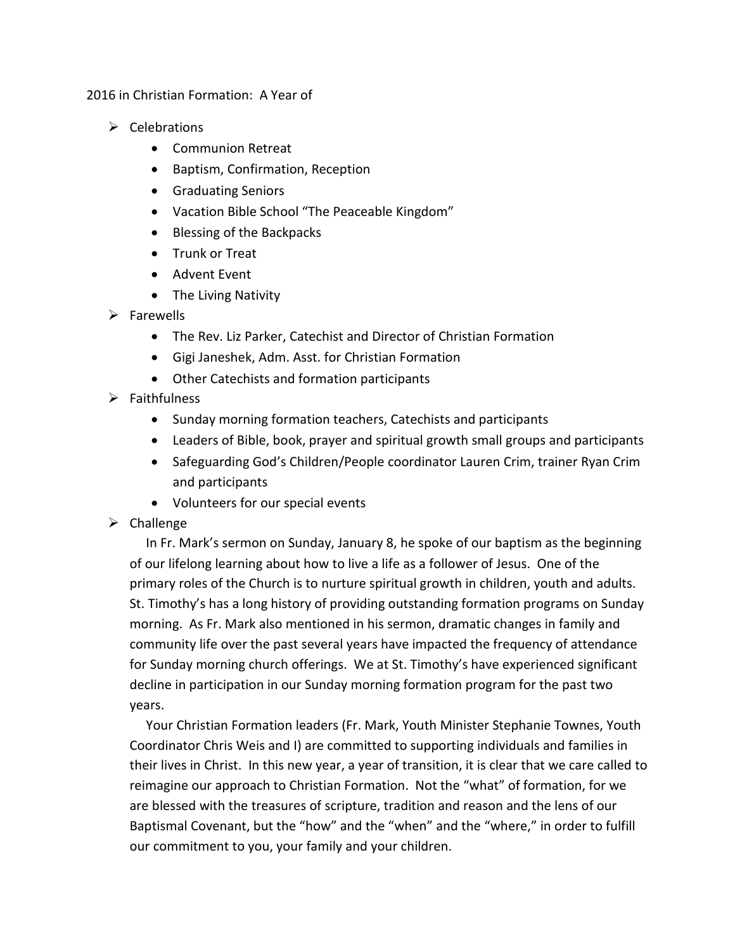2016 in Christian Formation: A Year of

- $\triangleright$  Celebrations
	- Communion Retreat
	- Baptism, Confirmation, Reception
	- Graduating Seniors
	- Vacation Bible School "The Peaceable Kingdom"
	- Blessing of the Backpacks
	- Trunk or Treat
	- Advent Event
	- The Living Nativity
- $\triangleright$  Farewells
	- The Rev. Liz Parker, Catechist and Director of Christian Formation
	- Gigi Janeshek, Adm. Asst. for Christian Formation
	- Other Catechists and formation participants
- $\triangleright$  Faithfulness
	- Sunday morning formation teachers, Catechists and participants
	- Leaders of Bible, book, prayer and spiritual growth small groups and participants
	- Safeguarding God's Children/People coordinator Lauren Crim, trainer Ryan Crim and participants
	- Volunteers for our special events
- $\triangleright$  Challenge

 In Fr. Mark's sermon on Sunday, January 8, he spoke of our baptism as the beginning of our lifelong learning about how to live a life as a follower of Jesus. One of the primary roles of the Church is to nurture spiritual growth in children, youth and adults. St. Timothy's has a long history of providing outstanding formation programs on Sunday morning. As Fr. Mark also mentioned in his sermon, dramatic changes in family and community life over the past several years have impacted the frequency of attendance for Sunday morning church offerings. We at St. Timothy's have experienced significant decline in participation in our Sunday morning formation program for the past two years.

 Your Christian Formation leaders (Fr. Mark, Youth Minister Stephanie Townes, Youth Coordinator Chris Weis and I) are committed to supporting individuals and families in their lives in Christ. In this new year, a year of transition, it is clear that we care called to reimagine our approach to Christian Formation. Not the "what" of formation, for we are blessed with the treasures of scripture, tradition and reason and the lens of our Baptismal Covenant, but the "how" and the "when" and the "where," in order to fulfill our commitment to you, your family and your children.